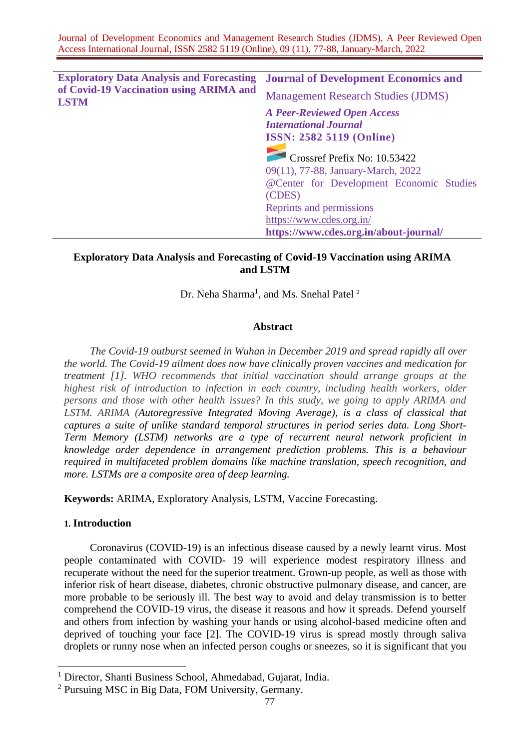| <b>Exploratory Data Analysis and Forecasting</b><br>of Covid-19 Vaccination using ARIMA and<br><b>LSTM</b> | <b>Journal of Development Economics and</b> |  |  |  |
|------------------------------------------------------------------------------------------------------------|---------------------------------------------|--|--|--|
|                                                                                                            | <b>Management Research Studies (JDMS)</b>   |  |  |  |
|                                                                                                            | <b>A Peer-Reviewed Open Access</b>          |  |  |  |
|                                                                                                            | <b>International Journal</b>                |  |  |  |
|                                                                                                            | <b>ISSN: 2582 5119 (Online)</b>             |  |  |  |
|                                                                                                            |                                             |  |  |  |
|                                                                                                            | Crossref Prefix No: 10.53422                |  |  |  |
|                                                                                                            | 09(11), 77-88, January-March, 2022          |  |  |  |
|                                                                                                            | @Center for Development Economic Studies    |  |  |  |
|                                                                                                            | (CDES)                                      |  |  |  |
|                                                                                                            | Reprints and permissions                    |  |  |  |
|                                                                                                            | https://www.cdes.org.in/                    |  |  |  |
|                                                                                                            | https://www.cdes.org.in/about-journal/      |  |  |  |

# **Exploratory Data Analysis and Forecasting of Covid-19 Vaccination using ARIMA and LSTM**

Dr. Neha Sharma<sup>1</sup>, and Ms. Snehal Patel<sup>2</sup>

## **Abstract**

*The Covid-19 outburst seemed in Wuhan in December 2019 and spread rapidly all over the world. The Covid-19 ailment does now have clinically proven vaccines and medication for treatment [1]. WHO recommends that initial vaccination should arrange groups at the highest risk of introduction to infection in each country, including health workers, older persons and those with other health issues? In this study, we going to apply ARIMA and LSTM. ARIMA (Autoregressive Integrated Moving Average), is a class of classical that captures a suite of unlike standard temporal structures in period series data. Long Short-Term Memory (LSTM) networks are a type of recurrent neural network proficient in knowledge order dependence in arrangement prediction problems. This is a behaviour required in multifaceted problem domains like machine translation, speech recognition, and more. LSTMs are a composite area of deep learning.*

**Keywords:** ARIMA, Exploratory Analysis, LSTM, Vaccine Forecasting.

# **1. Introduction**

Coronavirus (COVID-19) is an infectious disease caused by a newly learnt virus. Most people contaminated with COVID- 19 will experience modest respiratory illness and recuperate without the need for the superior treatment. Grown-up people, as well as those with inferior risk of heart disease, diabetes, chronic obstructive pulmonary disease, and cancer, are more probable to be seriously ill. The best way to avoid and delay transmission is to better comprehend the COVID-19 virus, the disease it reasons and how it spreads. Defend yourself and others from infection by washing your hands or using alcohol-based medicine often and deprived of touching your face [2]. The COVID-19 virus is spread mostly through saliva droplets or runny nose when an infected person coughs or sneezes, so it is significant that you

<sup>1</sup> Director, Shanti Business School, Ahmedabad, Gujarat, India.

<sup>2</sup> Pursuing MSC in Big Data, FOM University, Germany.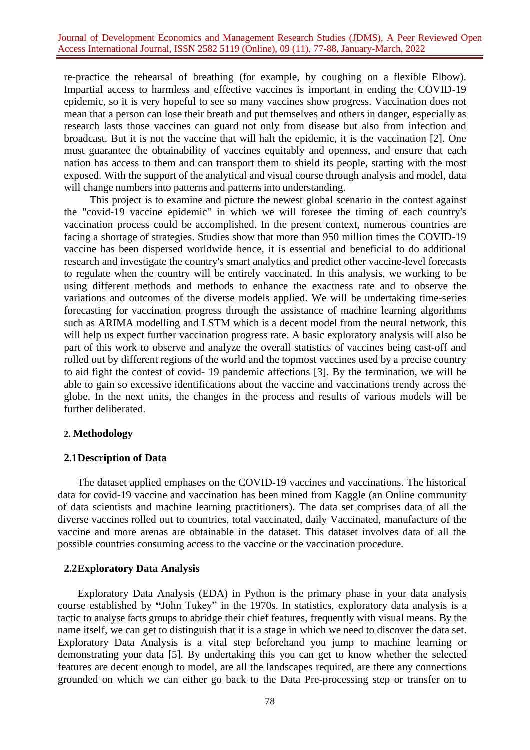re-practice the rehearsal of breathing (for example, by coughing on a flexible Elbow). Impartial access to harmless and effective vaccines is important in ending the COVID-19 epidemic, so it is very hopeful to see so many vaccines show progress. Vaccination does not mean that a person can lose their breath and put themselves and others in danger, especially as research lasts those vaccines can guard not only from disease but also from infection and broadcast. But it is not the vaccine that will halt the epidemic, it is the vaccination [2]. One must guarantee the obtainability of vaccines equitably and openness, and ensure that each nation has access to them and can transport them to shield its people, starting with the most exposed. With the support of the analytical and visual course through analysis and model, data will change numbers into patterns and patterns into understanding.

This project is to examine and picture the newest global scenario in the contest against the "covid-19 vaccine epidemic" in which we will foresee the timing of each country's vaccination process could be accomplished. In the present context, numerous countries are facing a shortage of strategies. Studies show that more than 950 million times the COVID-19 vaccine has been dispersed worldwide hence, it is essential and beneficial to do additional research and investigate the country's smart analytics and predict other vaccine-level forecasts to regulate when the country will be entirely vaccinated. In this analysis, we working to be using different methods and methods to enhance the exactness rate and to observe the variations and outcomes of the diverse models applied. We will be undertaking time-series forecasting for vaccination progress through the assistance of machine learning algorithms such as ARIMA modelling and LSTM which is a decent model from the neural network, this will help us expect further vaccination progress rate. A basic exploratory analysis will also be part of this work to observe and analyze the overall statistics of vaccines being cast-off and rolled out by different regions of the world and the topmost vaccines used by a precise country to aid fight the contest of covid- 19 pandemic affections [3]. By the termination, we will be able to gain so excessive identifications about the vaccine and vaccinations trendy across the globe. In the next units, the changes in the process and results of various models will be further deliberated.

# **2. Methodology**

# **2.1Description of Data**

The dataset applied emphases on the COVID-19 vaccines and vaccinations. The historical data for covid-19 vaccine and vaccination has been mined from Kaggle (an Online community of data scientists and machine learning practitioners). The data set comprises data of all the diverse vaccines rolled out to countries, total vaccinated, daily Vaccinated, manufacture of the vaccine and more arenas are obtainable in the dataset. This dataset involves data of all the possible countries consuming access to the vaccine or the vaccination procedure.

# **2.2Exploratory Data Analysis**

Exploratory Data Analysis (EDA) in Python is the primary phase in your data analysis course established by **"**John Tukey" in the 1970s. In statistics, exploratory data analysis is a tactic to [analyse facts groups t](https://www.edureka.co/blog/football-world-cup-best-xi-analysis-using-python/)o abridge their chief features, frequently with visual means. By the name itself, we can get to distinguish that it is a stage in which we need to discover the data set. Exploratory Data Analysis is a vital step beforehand you jump to machine learning or demonstrating your data [5]. By undertaking this you can get to know whether the selected features are decent enough to model, are all the landscapes required, are there any connections grounded on which we can either go back to the Data Pre-processing step or transfer on to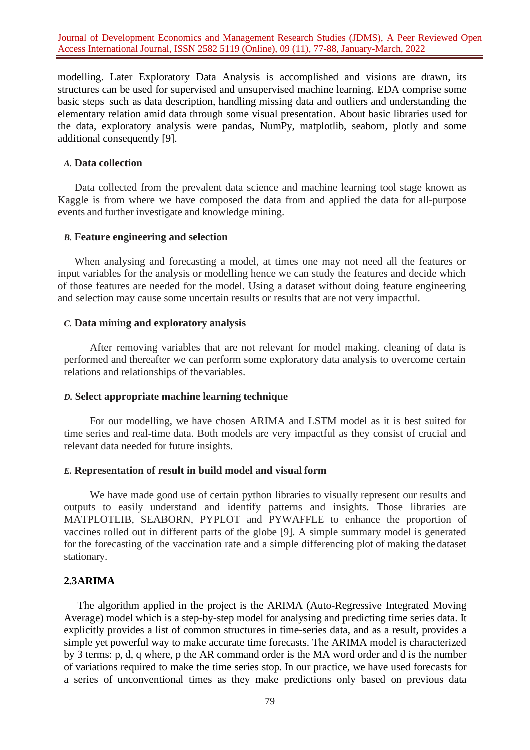modelling. Later Exploratory Data Analysis is accomplished and visions are drawn, its structures can be used for supervised and unsupervised machine learning. EDA comprise some basic steps such as data description, handling missing data and outliers and understanding the elementary relation amid data through some visual presentation. About basic libraries used for the data, exploratory analysis were pandas, NumPy, matplotlib, seaborn, plotly and some additional consequently [9].

# *A.* **Data collection**

Data collected from the prevalent data science and machine learning tool stage known as Kaggle is from where we have composed the data from and applied the data for all-purpose events and further investigate and knowledge mining.

#### *B.* **Feature engineering and selection**

When analysing and forecasting a model, at times one may not need all the features or input variables for the analysis or modelling hence we can study the features and decide which of those features are needed for the model. Using a dataset without doing feature engineering and selection may cause some uncertain results or results that are not very impactful.

# *C.* **Data mining and exploratory analysis**

After removing variables that are not relevant for model making. cleaning of data is performed and thereafter we can perform some exploratory data analysis to overcome certain relations and relationships of thevariables.

# *D.* **Select appropriate machine learning technique**

For our modelling, we have chosen ARIMA and LSTM model as it is best suited for time series and real-time data. Both models are very impactful as they consist of crucial and relevant data needed for future insights.

# *E.* **Representation of result in build model and visual form**

We have made good use of certain python libraries to visually represent our results and outputs to easily understand and identify patterns and insights. Those libraries are MATPLOTLIB, SEABORN, PYPLOT and PYWAFFLE to enhance the proportion of vaccines rolled out in different parts of the globe [9]. A simple summary model is generated for the forecasting of the vaccination rate and a simple differencing plot of making the dataset stationary.

# **2.3ARIMA**

The algorithm applied in the project is the ARIMA (Auto-Regressive Integrated Moving Average) model which is a step-by-step model for analysing and predicting time series data. It explicitly provides a list of common structures in time-series data, and as a result, provides a simple yet powerful way to make accurate time forecasts. The ARIMA model is characterized by 3 terms: p, d, q where, p the AR command order is the MA word order and d is the number of variations required to make the time series stop. In our practice, we have used forecasts for a series of unconventional times as they make predictions only based on previous data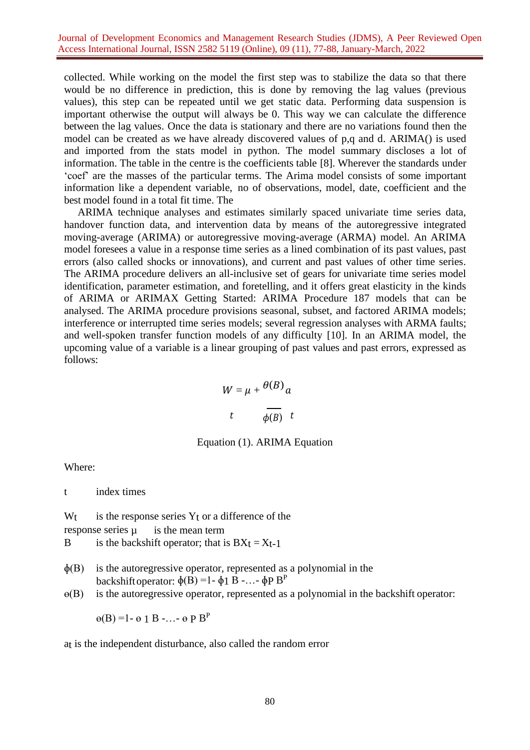collected. While working on the model the first step was to stabilize the data so that there would be no difference in prediction, this is done by removing the lag values (previous values), this step can be repeated until we get static data. Performing data suspension is important otherwise the output will always be 0. This way we can calculate the difference between the lag values. Once the data is stationary and there are no variations found then the model can be created as we have already discovered values of p,q and d. ARIMA() is used and imported from the stats model in python. The model summary discloses a lot of information. The table in the centre is the coefficients table [8]. Wherever the standards under 'coef' are the masses of the particular terms. The Arima model consists of some important information like a dependent variable, no of observations, model, date, coefficient and the best model found in a total fit time. The

ARIMA technique analyses and estimates similarly spaced univariate time series data, handover function data, and intervention data by means of the autoregressive integrated moving-average (ARIMA) or autoregressive moving-average (ARMA) model. An ARIMA model foresees a value in a response time series as a lined combination of its past values, past errors (also called shocks or innovations), and current and past values of other time series. The ARIMA procedure delivers an all-inclusive set of gears for univariate time series model identification, parameter estimation, and foretelling, and it offers great elasticity in the kinds of ARIMA or ARIMAX Getting Started: ARIMA Procedure 187 models that can be analysed. The ARIMA procedure provisions seasonal, subset, and factored ARIMA models; interference or interrupted time series models; several regression analyses with ARMA faults; and well-spoken transfer function models of any difficulty [10]. In an ARIMA model, the upcoming value of a variable is a linear grouping of past values and past errors, expressed as follows:

$$
W = \mu + \frac{\theta(B)}{\theta(B)} a
$$
  

$$
t \qquad \frac{\theta(B)}{\phi(B)} \quad t
$$

## Equation (1). ARIMA Equation

Where:

t index times

 $W_t$  is the response series  $Y_t$  or a difference of the

response series  $\mu$  is the mean term

B is the backshift operator; that is  $BXt = Xt-1$ 

- $\phi$ (B) is the autoregressive operator, represented as a polynomial in the backshift operator:  $\phi(B) = 1 - \phi_1 B - \dots - \phi_P B^P$
- $\Theta(B)$  is the autoregressive operator, represented as a polynomial in the backshift operator:

 $\Theta(B) = 1 - \Theta 1 B - \cdots - \Theta P B^{P}$ 

at is the independent disturbance, also called the random error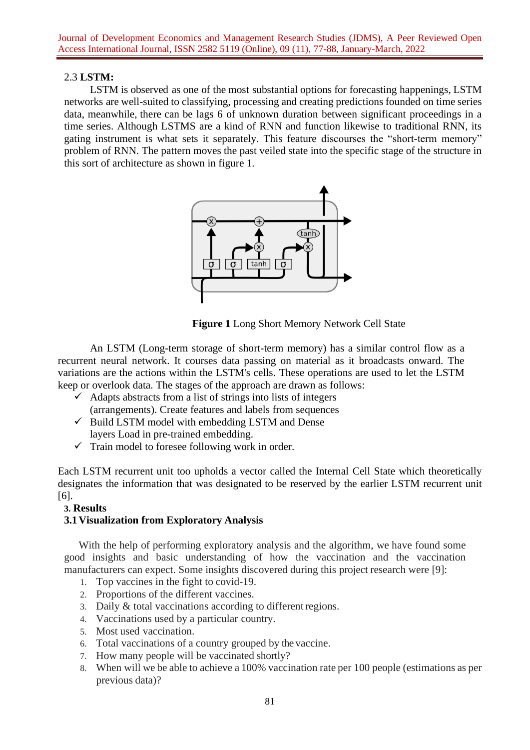# 2.3 **LSTM:**

LSTM is observed as one of the most substantial options for forecasting happenings, LSTM networks are well-suited to classifying, processing and creating predictions founded on time series data, meanwhile, there can be lags 6 of unknown duration between significant proceedings in a time series. Although LSTMS are a kind of RNN and function likewise to traditional RNN, its gating instrument is what sets it separately. This feature discourses the "short-term memory" problem of RNN. The pattern moves the past veiled state into the specific stage of the structure in this sort of architecture as shown in figure 1.



**Figure 1** Long Short Memory Network Cell State

An LSTM (Long-term storage of short-term memory) has a similar control flow as a recurrent neural network. It courses data passing on material as it broadcasts onward. The variations are the actions within the LSTM's cells. These operations are used to let the LSTM keep or overlook data. The stages of the approach are drawn as follows:

- $\checkmark$  Adapts abstracts from a list of strings into lists of integers (arrangements). Create features and labels from sequences
- $\checkmark$  Build LSTM model with embedding LSTM and Dense layers Load in pre-trained embedding.
- $\checkmark$  Train model to foresee following work in order.

Each LSTM recurrent unit too upholds a vector called the Internal Cell State which theoretically designates the information that was designated to be reserved by the earlier LSTM recurrent unit [6].

# **3. Results**

# **3.1Visualization from Exploratory Analysis**

With the help of performing exploratory analysis and the algorithm, we have found some good insights and basic understanding of how the vaccination and the vaccination manufacturers can expect. Some insights discovered during this project research were [9]:

- 1. Top vaccines in the fight to covid-19.
- 2. Proportions of the different vaccines.
- 3. Daily & total vaccinations according to differentregions.
- 4. Vaccinations used by a particular country.
- 5. Most used vaccination.
- 6. Total vaccinations of a country grouped by the vaccine.
- 7. How many people will be vaccinated shortly?
- 8. When will we be able to achieve a 100% vaccination rate per 100 people (estimations as per previous data)?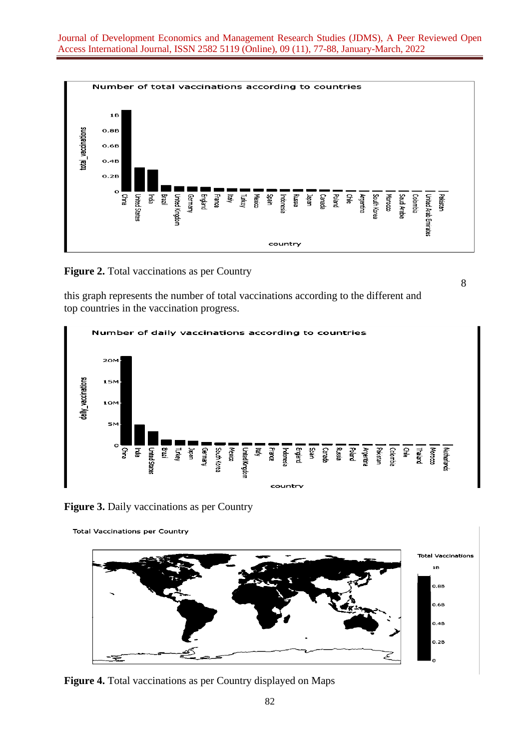

**Figure 2.** Total vaccinations as per Country

this graph represents the number of total vaccinations according to the different and top countries in the vaccination progress.



8

**Figure 3.** Daily vaccinations as per Country





**Figure 4.** Total vaccinations as per Country displayed on Maps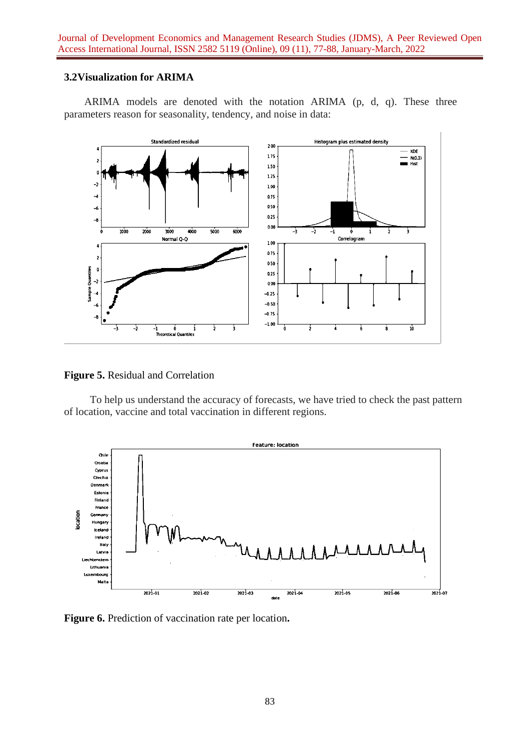# **3.2Visualization for ARIMA**

ARIMA models are denoted with the notation ARIMA (p, d, q). These three parameters reason for seasonality, tendency, and noise in data:



**Figure 5.** Residual and Correlation

To help us understand the accuracy of forecasts, we have tried to check the past pattern of location, vaccine and total vaccination in different regions.



**Figure 6.** Prediction of vaccination rate per location**.**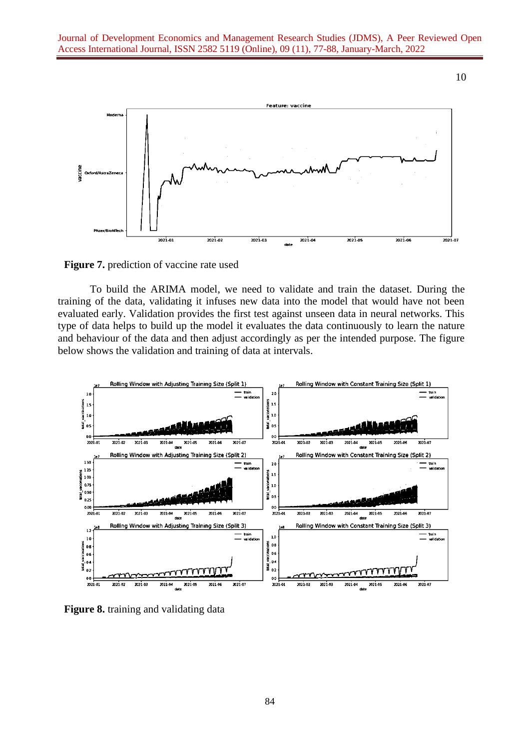10



**Figure 7.** prediction of vaccine rate used

To build the ARIMA model, we need to validate and train the dataset. During the training of the data, validating it infuses new data into the model that would have not been evaluated early. Validation provides the first test against unseen data in neural networks. This type of data helps to build up the model it evaluates the data continuously to learn the nature and behaviour of the data and then adjust accordingly as per the intended purpose. The figure below shows the validation and training of data at intervals.



**Figure 8.** training and validating data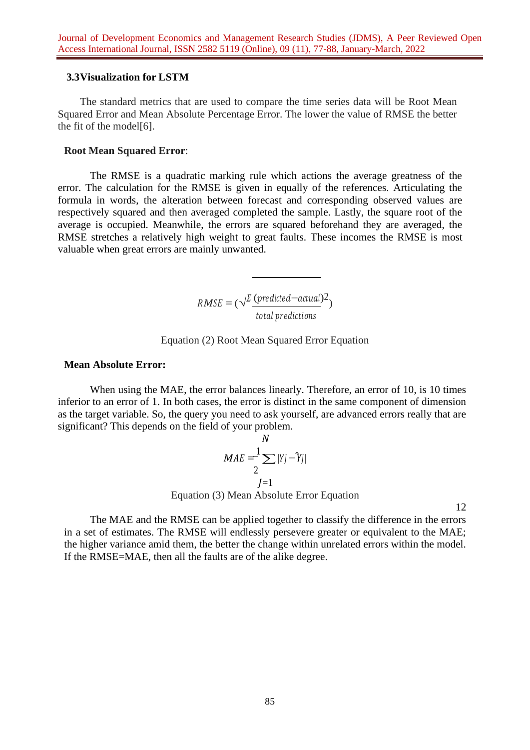## **3.3Visualization for LSTM**

The standard metrics that are used to compare the time series data will be Root Mean Squared Error and Mean Absolute Percentage Error. The lower the value of RMSE the better the fit of the model[6].

### **Root Mean Squared Error**:

The RMSE is a quadratic marking rule which actions the average greatness of the error. The calculation for the RMSE is given in equally of the references. Articulating the formula in words, the alteration between forecast and corresponding observed values are respectively squared and then averaged completed the sample. Lastly, the square root of the average is occupied. Meanwhile, the errors are squared beforehand they are averaged, the RMSE stretches a relatively high weight to great faults. These incomes the RMSE is most valuable when great errors are mainly unwanted.

> $RMSE = (\sqrt{\frac{\Sigma\ (predicted - actual)}{2}})$ total predictions

Equation (2) Root Mean Squared Error Equation

#### **Mean Absolute Error:**

When using the MAE, the error balances linearly. Therefore, an error of 10, is 10 times inferior to an error of 1. In both cases, the error is distinct in the same component of dimension as the target variable. So, the query you need to ask yourself, are advanced errors really that are significant? This depends on the field of your problem.

$$
MAE = \frac{1}{2} \sum |Y| - \hat{Y}||
$$
  
Equation (3) Mean Absolute Error Equation

12

The MAE and the RMSE can be applied together to classify the difference in the errors in a set of estimates. The RMSE will endlessly persevere greater or equivalent to the MAE; the higher variance amid them, the better the change within unrelated errors within the model. If the RMSE=MAE, then all the faults are of the alike degree.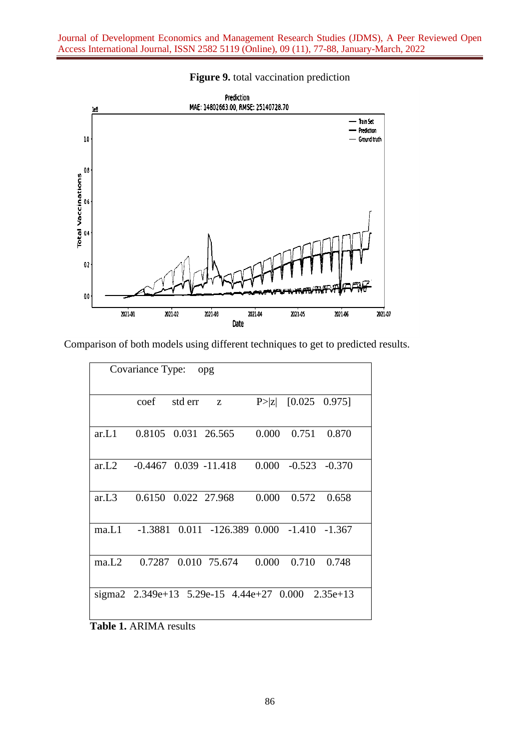

# **Figure 9.** total vaccination prediction

Comparison of both models using different techniques to get to predicted results.

| Covariance Type:<br>opg |                     |         |                                                    |       |                         |             |
|-------------------------|---------------------|---------|----------------------------------------------------|-------|-------------------------|-------------|
|                         | coef                | std err | Z                                                  |       | $P >  z $ [0.025 0.975] |             |
| ar.L1                   | 0.8105 0.031 26.565 |         |                                                    | 0.000 |                         | 0.751 0.870 |
| ar.L2                   |                     |         | $-0.4467$ 0.039 $-11.418$                          |       | $0.000 -0.523 -0.370$   |             |
| ar.L3                   | 0.6150 0.022 27.968 |         |                                                    | 0.000 | 0.572                   | 0.658       |
| ma.L1                   |                     |         | $-1.3881$ 0.011 $-126.389$ 0.000 $-1.410$ $-1.367$ |       |                         |             |
| ma.L2                   |                     |         | 0.7287 0.010 75.674                                | 0.000 | 0.710                   | 0.748       |
|                         |                     |         | sigma2 2.349e+13 5.29e-15 4.44e+27 0.000 2.35e+13  |       |                         |             |

**Table 1.** ARIMA results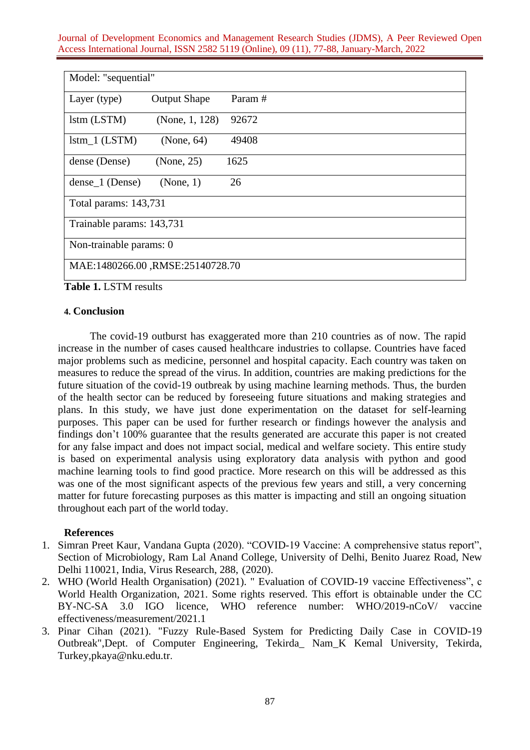| Model: "sequential"              |                     |        |  |  |
|----------------------------------|---------------------|--------|--|--|
| Layer (type)                     | <b>Output Shape</b> | Param# |  |  |
| lstm (LSTM)                      | (None, 1, 128)      | 92672  |  |  |
| $Istm_1 (LSTM)$                  | (None, 64)          | 49408  |  |  |
| dense (Dense)                    | (None, 25)          | 1625   |  |  |
| dense_1 (Dense)                  | (None, 1)           | 26     |  |  |
| Total params: 143,731            |                     |        |  |  |
| Trainable params: 143,731        |                     |        |  |  |
| Non-trainable params: 0          |                     |        |  |  |
| MAE:1480266.00, RMSE:25140728.70 |                     |        |  |  |

**Table 1.** LSTM results

# **4. Conclusion**

The covid-19 outburst has exaggerated more than 210 countries as of now. The rapid increase in the number of cases caused healthcare industries to collapse. Countries have faced major problems such as medicine, personnel and hospital capacity. Each country was taken on measures to reduce the spread of the virus. In addition, countries are making predictions for the future situation of the covid-19 outbreak by using machine learning methods. Thus, the burden of the health sector can be reduced by foreseeing future situations and making strategies and plans. In this study, we have just done experimentation on the dataset for self-learning purposes. This paper can be used for further research or findings however the analysis and findings don't 100% guarantee that the results generated are accurate this paper is not created for any false impact and does not impact social, medical and welfare society. This entire study is based on experimental analysis using exploratory data analysis with python and good machine learning tools to find good practice. More research on this will be addressed as this was one of the most significant aspects of the previous few years and still, a very concerning matter for future forecasting purposes as this matter is impacting and still an ongoing situation throughout each part of the world today.

# **References**

- 1. Simran Preet Kaur, Vandana Gupta (2020). "COVID-19 Vaccine: A comprehensive status report", Section of Microbiology, Ram Lal Anand College, University of Delhi, Benito Juarez Road, New Delhi 110021, India, Virus Research, 288, (2020).
- 2. WHO (World Health Organisation) (2021). " Evaluation of COVID-19 vaccine Effectiveness", c World Health Organization, 2021. Some rights reserved. This effort is obtainable under the CC BY-NC-SA 3.0 IGO licence, WHO reference number: WHO/2019-nCoV/ vaccine effectiveness/measurement/2021.1
- 3. Pinar Cihan (2021). "Fuzzy Rule-Based System for Predicting Daily Case in COVID-19 Outbreak",Dept. of Computer Engineering, Tekirda\_ Nam\_K Kemal University, Tekirda, [Turkey,pkaya@nku.edu.tr.](mailto:Turkey%2Cpkaya@nku.edu.tr)